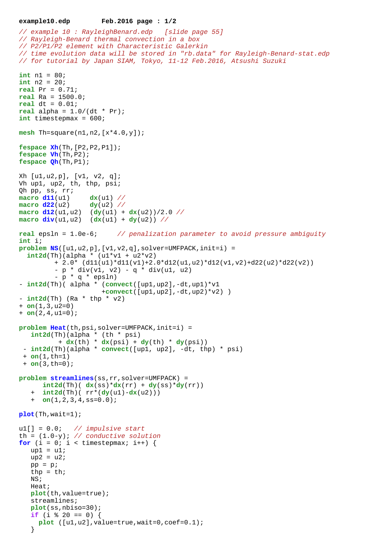```
example10.edp Feb.2016 page : 1/2
// example 10 : RayleighBenard.edp [slide page 55]
// Rayleigh-Benard thermal convection in a box
// P2/P1/P2 element with Characteristic Galerkin
// time evolution data will be stored in "rb.data" for Rayleigh-Benard-stat.edp
// for tutorial by Japan SIAM, Tokyo, 11-12 Feb.2016, Atsushi Suzuki
int n1 = 80;
int n2 = 20;
real Pr = 0.71;
real Ra = 1500.0;
real dt = 0.01;
real alpha = 1.0/(dt * Pr);
int timestepmax = 600;
mesh Th=square(n1,n2,[x*4.0,y]);
fespace Xh(Th,[P2,P2,P1]);
fespace Vh(Th,P2);
fespace Qh(Th,P1);
Xh [u1,u2,p], [v1, v2, q];
Vh up1, up2, th, thp, psi;
Qh pp, ss, rr;
macro d11(u1) dx(u1) //
macro d22(u2) dy(u2) //
macro d12(u1,u2) (dy(u1) + dx(u2))/2.0 //
macro div(u1,u2) (dx(u1) + dy(u2)) //
real epsln = 1.0e-6; // penalization parameter to avoid pressure ambiguity
int i;
problem NS([u1,u2,p],[v1,v2,q],solver=UMFPACK,init=i) = 
  int2d(Th)(alpha * (u1 * v1 + u2 * v2))+ 2.0* \frac{d11(u1)*d11(v1)+2.0*d12(u1,u2)*d12(v1,v2)+d22(u2)*d22(v2)}{ }- p * div(v1, v2) - q * div(u1, u2)- p * q * epsln)
- int2d(Th)( alpha * (convect([up1,up2],-dt,up1)*v1
                      +convect([up1,up2],-dt,up2)*v2) )
- int2d(Th) (Ra * thp * v2)
+ on(1,3,u2=0) 
+ on(2,4,u1=0);
problem Heat(th,psi,solver=UMFPACK,init=i) =
    int2d(Th)(alpha * (th * psi) 
           + dx(th) * dx(psi) + dy(th) * dy(psi))
  - int2d(Th)(alpha * convect([up1, up2], -dt, thp) * psi)
  + on(1,th=1)
  + on(3,th=0);
problem streamlines(ss,rr,solver=UMFPACK) =
      int2d(Th) ( dx(ss)*dx(rr) + dy(ss)*dy(rr))
    + int2d(Th)( rr*(dy(u1)-dx(u2)))
    + on(1,2,3,4,ss=0.0);
```

```
plot(Th,wait=1);
```

```
u1[] = 0.0; // impulsive start
th = (1.0-y); // conductive solution
for (i = 0; i < timestepmax; i++) {
   up1 = uliup2 = u2;
   pp = pithp = thi NS;
    Heat;
    plot(th,value=true);
    streamlines;
    plot(ss,nbiso=30);
   if (i \textdegree 20 == 0) {
      plot ([u1,u2],value=true,wait=0,coef=0.1);
    }
```